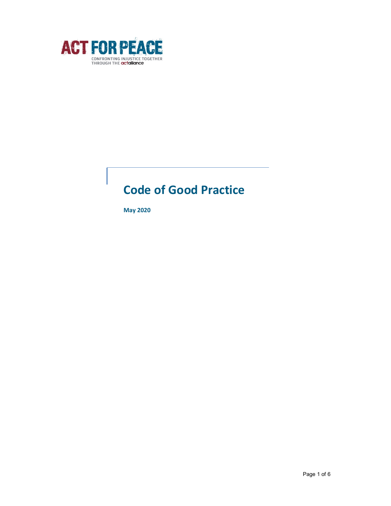

# Code of Good Practice

May 2020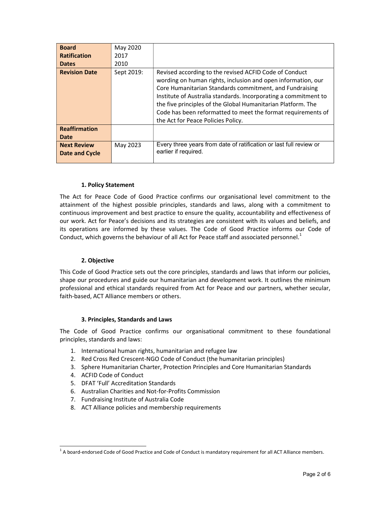| <b>Board</b><br><b>Ratification</b>  | May 2020<br>2017 |                                                                                                                                                                                                                                                                                                                                                                                                                            |
|--------------------------------------|------------------|----------------------------------------------------------------------------------------------------------------------------------------------------------------------------------------------------------------------------------------------------------------------------------------------------------------------------------------------------------------------------------------------------------------------------|
| <b>Dates</b>                         | 2010             |                                                                                                                                                                                                                                                                                                                                                                                                                            |
| <b>Revision Date</b>                 | Sept 2019:       | Revised according to the revised ACFID Code of Conduct<br>wording on human rights, inclusion and open information, our<br>Core Humanitarian Standards commitment, and Fundraising<br>Institute of Australia standards. Incorporating a commitment to<br>the five principles of the Global Humanitarian Platform. The<br>Code has been reformatted to meet the format requirements of<br>the Act for Peace Policies Policy. |
| <b>Reaffirmation</b><br>Date         |                  |                                                                                                                                                                                                                                                                                                                                                                                                                            |
| <b>Next Review</b><br>Date and Cycle | May 2023         | Every three years from date of ratification or last full review or<br>earlier if required.                                                                                                                                                                                                                                                                                                                                 |

## 1. Policy Statement

The Act for Peace Code of Good Practice confirms our organisational level commitment to the attainment of the highest possible principles, standards and laws, along with a commitment to continuous improvement and best practice to ensure the quality, accountability and effectiveness of our work. Act for Peace's decisions and its strategies are consistent with its values and beliefs, and its operations are informed by these values. The Code of Good Practice informs our Code of Conduct, which governs the behaviour of all Act for Peace staff and associated personnel.<sup>1</sup>

## 2. Objective

This Code of Good Practice sets out the core principles, standards and laws that inform our policies, shape our procedures and guide our humanitarian and development work. It outlines the minimum professional and ethical standards required from Act for Peace and our partners, whether secular, faith-based, ACT Alliance members or others.

## 3. Principles, Standards and Laws

The Code of Good Practice confirms our organisational commitment to these foundational principles, standards and laws:

- 1. International human rights, humanitarian and refugee law
- 2. Red Cross Red Crescent-NGO Code of Conduct (the humanitarian principles)
- 3. Sphere Humanitarian Charter, Protection Principles and Core Humanitarian Standards
- 4. ACFID Code of Conduct

-

- 5. DFAT 'Full' Accreditation Standards
- 6. Australian Charities and Not-for-Profits Commission
- 7. Fundraising Institute of Australia Code
- 8. ACT Alliance policies and membership requirements

<sup>&</sup>lt;sup>1</sup> A board-endorsed Code of Good Practice and Code of Conduct is mandatory requirement for all ACT Alliance members.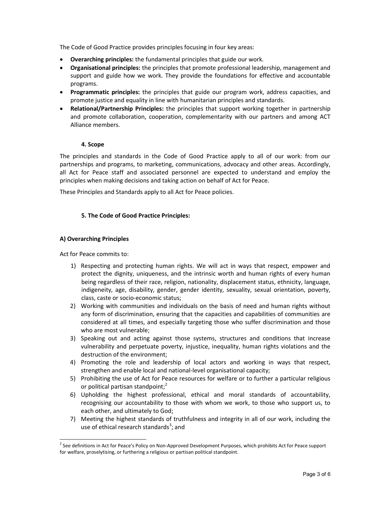The Code of Good Practice provides principles focusing in four key areas:

- **Overarching principles:** the fundamental principles that guide our work.
- Organisational principles: the principles that promote professional leadership, management and support and guide how we work. They provide the foundations for effective and accountable programs.
- Programmatic principles: the principles that guide our program work, address capacities, and promote justice and equality in line with humanitarian principles and standards.
- Relational/Partnership Principles: the principles that support working together in partnership and promote collaboration, cooperation, complementarity with our partners and among ACT Alliance members.

# 4. Scope

The principles and standards in the Code of Good Practice apply to all of our work: from our partnerships and programs, to marketing, communications, advocacy and other areas. Accordingly, all Act for Peace staff and associated personnel are expected to understand and employ the principles when making decisions and taking action on behalf of Act for Peace.

These Principles and Standards apply to all Act for Peace policies.

# 5. The Code of Good Practice Principles:

# A) Overarching Principles

Act for Peace commits to:

-

- 1) Respecting and protecting human rights. We will act in ways that respect, empower and protect the dignity, uniqueness, and the intrinsic worth and human rights of every human being regardless of their race, religion, nationality, displacement status, ethnicity, language, indigeneity, age, disability, gender, gender identity, sexuality, sexual orientation, poverty, class, caste or socio-economic status;
- 2) Working with communities and individuals on the basis of need and human rights without any form of discrimination, ensuring that the capacities and capabilities of communities are considered at all times, and especially targeting those who suffer discrimination and those who are most vulnerable;
- 3) Speaking out and acting against those systems, structures and conditions that increase vulnerability and perpetuate poverty, injustice, inequality, human rights violations and the destruction of the environment;
- 4) Promoting the role and leadership of local actors and working in ways that respect, strengthen and enable local and national-level organisational capacity;
- 5) Prohibiting the use of Act for Peace resources for welfare or to further a particular religious or political partisan standpoint;<sup>2</sup>
- 6) Upholding the highest professional, ethical and moral standards of accountability, recognising our accountability to those with whom we work, to those who support us, to each other, and ultimately to God;
- 7) Meeting the highest standards of truthfulness and integrity in all of our work, including the use of ethical research standards<sup>3</sup>; and

<sup>&</sup>lt;sup>2</sup> See definitions in Act for Peace's Policy on Non-Approved Development Purposes, which prohibits Act for Peace support for welfare, proselytising, or furthering a religious or partisan political standpoint.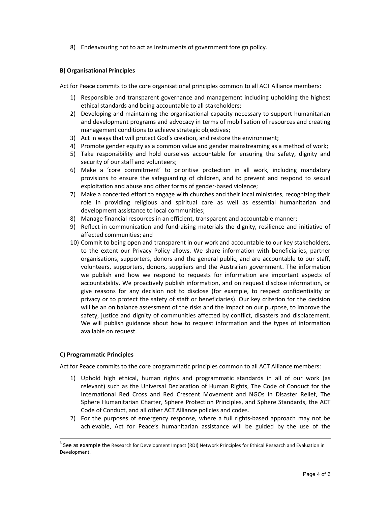8) Endeavouring not to act as instruments of government foreign policy.

# B) Organisational Principles

Act for Peace commits to the core organisational principles common to all ACT Alliance members:

- 1) Responsible and transparent governance and management including upholding the highest ethical standards and being accountable to all stakeholders;
- 2) Developing and maintaining the organisational capacity necessary to support humanitarian and development programs and advocacy in terms of mobilisation of resources and creating management conditions to achieve strategic objectives;
- 3) Act in ways that will protect God's creation, and restore the environment;
- 4) Promote gender equity as a common value and gender mainstreaming as a method of work;
- 5) Take responsibility and hold ourselves accountable for ensuring the safety, dignity and security of our staff and volunteers;
- 6) Make a 'core commitment' to prioritise protection in all work, including mandatory provisions to ensure the safeguarding of children, and to prevent and respond to sexual exploitation and abuse and other forms of gender-based violence;
- 7) Make a concerted effort to engage with churches and their local ministries, recognizing their role in providing religious and spiritual care as well as essential humanitarian and development assistance to local communities;
- 8) Manage financial resources in an efficient, transparent and accountable manner;
- 9) Reflect in communication and fundraising materials the dignity, resilience and initiative of affected communities; and
- 10) Commit to being open and transparent in our work and accountable to our key stakeholders, to the extent our Privacy Policy allows. We share information with beneficiaries, partner organisations, supporters, donors and the general public, and are accountable to our staff, volunteers, supporters, donors, suppliers and the Australian government. The information we publish and how we respond to requests for information are important aspects of accountability. We proactively publish information, and on request disclose information, or give reasons for any decision not to disclose (for example, to respect confidentiality or privacy or to protect the safety of staff or beneficiaries). Our key criterion for the decision will be an on balance assessment of the risks and the impact on our purpose, to improve the safety, justice and dignity of communities affected by conflict, disasters and displacement. We will publish guidance about how to request information and the types of information available on request.

## C) Programmatic Principles

Act for Peace commits to the core programmatic principles common to all ACT Alliance members:

- 1) Uphold high ethical, human rights and programmatic standards in all of our work (as relevant) such as the Universal Declaration of Human Rights, The Code of Conduct for the International Red Cross and Red Crescent Movement and NGOs in Disaster Relief, The Sphere Humanitarian Charter, Sphere Protection Principles, and Sphere Standards, the ACT Code of Conduct, and all other ACT Alliance policies and codes.
- 2) For the purposes of emergency response, where a full rights-based approach may not be achievable, Act for Peace's humanitarian assistance will be guided by the use of the

 $^3$  See as example the Research for Development Impact (RDI) Network Principles for Ethical Research and Evaluation in Development.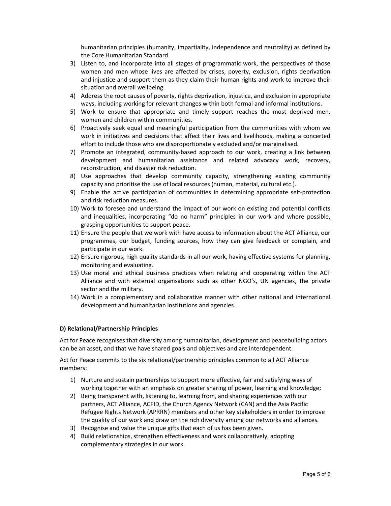humanitarian principles (humanity, impartiality, independence and neutrality) as defined by the Core Humanitarian Standard.

- 3) Listen to, and incorporate into all stages of programmatic work, the perspectives of those women and men whose lives are affected by crises, poverty, exclusion, rights deprivation and injustice and support them as they claim their human rights and work to improve their situation and overall wellbeing.
- 4) Address the root causes of poverty, rights deprivation, injustice, and exclusion in appropriate ways, including working for relevant changes within both formal and informal institutions.
- 5) Work to ensure that appropriate and timely support reaches the most deprived men, women and children within communities.
- 6) Proactively seek equal and meaningful participation from the communities with whom we work in initiatives and decisions that affect their lives and livelihoods, making a concerted effort to include those who are disproportionately excluded and/or marginalised.
- 7) Promote an integrated, community-based approach to our work, creating a link between development and humanitarian assistance and related advocacy work, recovery, reconstruction, and disaster risk reduction.
- 8) Use approaches that develop community capacity, strengthening existing community capacity and prioritise the use of local resources (human, material, cultural etc.).
- 9) Enable the active participation of communities in determining appropriate self-protection and risk reduction measures.
- 10) Work to foresee and understand the impact of our work on existing and potential conflicts and inequalities, incorporating "do no harm" principles in our work and where possible, grasping opportunities to support peace.
- 11) Ensure the people that we work with have access to information about the ACT Alliance, our programmes, our budget, funding sources, how they can give feedback or complain, and participate in our work.
- 12) Ensure rigorous, high quality standards in all our work, having effective systems for planning, monitoring and evaluating.
- 13) Use moral and ethical business practices when relating and cooperating within the ACT Alliance and with external organisations such as other NGO's, UN agencies, the private sector and the military.
- 14) Work in a complementary and collaborative manner with other national and international development and humanitarian institutions and agencies.

## D) Relational/Partnership Principles

Act for Peace recognises that diversity among humanitarian, development and peacebuilding actors can be an asset, and that we have shared goals and objectives and are interdependent.

Act for Peace commits to the six relational/partnership principles common to all ACT Alliance members:

- 1) Nurture and sustain partnerships to support more effective, fair and satisfying ways of working together with an emphasis on greater sharing of power, learning and knowledge;
- 2) Being transparent with, listening to, learning from, and sharing experiences with our partners, ACT Alliance, ACFID, the Church Agency Network (CAN) and the Asia Pacific Refugee Rights Network (APRRN) members and other key stakeholders in order to improve the quality of our work and draw on the rich diversity among our networks and alliances.
- 3) Recognise and value the unique gifts that each of us has been given.
- 4) Build relationships, strengthen effectiveness and work collaboratively, adopting complementary strategies in our work.